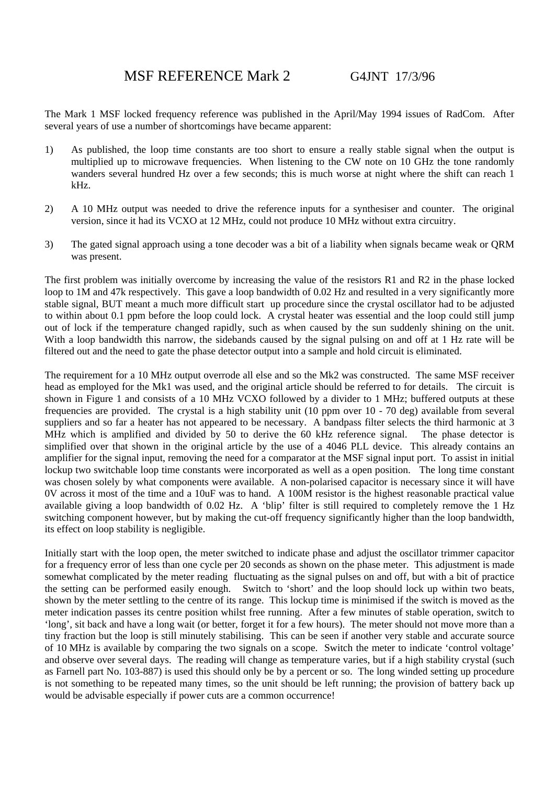The Mark 1 MSF locked frequency reference was published in the April/May 1994 issues of RadCom. After several years of use a number of shortcomings have became apparent:

- 1) As published, the loop time constants are too short to ensure a really stable signal when the output is multiplied up to microwave frequencies. When listening to the CW note on 10 GHz the tone randomly wanders several hundred Hz over a few seconds; this is much worse at night where the shift can reach 1 kHz.
- 2) A 10 MHz output was needed to drive the reference inputs for a synthesiser and counter. The original version, since it had its VCXO at 12 MHz, could not produce 10 MHz without extra circuitry.
- 3) The gated signal approach using a tone decoder was a bit of a liability when signals became weak or QRM was present.

The first problem was initially overcome by increasing the value of the resistors R1 and R2 in the phase locked loop to 1M and 47k respectively. This gave a loop bandwidth of 0.02 Hz and resulted in a very significantly more stable signal, BUT meant a much more difficult start up procedure since the crystal oscillator had to be adjusted to within about 0.1 ppm before the loop could lock. A crystal heater was essential and the loop could still jump out of lock if the temperature changed rapidly, such as when caused by the sun suddenly shining on the unit. With a loop bandwidth this narrow, the sidebands caused by the signal pulsing on and off at 1 Hz rate will be filtered out and the need to gate the phase detector output into a sample and hold circuit is eliminated.

The requirement for a 10 MHz output overrode all else and so the Mk2 was constructed. The same MSF receiver head as employed for the Mk1 was used, and the original article should be referred to for details. The circuit is shown in Figure 1 and consists of a 10 MHz VCXO followed by a divider to 1 MHz; buffered outputs at these frequencies are provided. The crystal is a high stability unit (10 ppm over 10 - 70 deg) available from several suppliers and so far a heater has not appeared to be necessary. A bandpass filter selects the third harmonic at 3 MHz which is amplified and divided by 50 to derive the 60 kHz reference signal. The phase detector is simplified over that shown in the original article by the use of a 4046 PLL device. This already contains an amplifier for the signal input, removing the need for a comparator at the MSF signal input port. To assist in initial lockup two switchable loop time constants were incorporated as well as a open position. The long time constant was chosen solely by what components were available. A non-polarised capacitor is necessary since it will have 0V across it most of the time and a 10uF was to hand. A 100M resistor is the highest reasonable practical value available giving a loop bandwidth of 0.02 Hz. A 'blip' filter is still required to completely remove the 1 Hz switching component however, but by making the cut-off frequency significantly higher than the loop bandwidth, its effect on loop stability is negligible.

Initially start with the loop open, the meter switched to indicate phase and adjust the oscillator trimmer capacitor for a frequency error of less than one cycle per 20 seconds as shown on the phase meter. This adjustment is made somewhat complicated by the meter reading fluctuating as the signal pulses on and off, but with a bit of practice the setting can be performed easily enough. Switch to 'short' and the loop should lock up within two beats, shown by the meter settling to the centre of its range. This lockup time is minimised if the switch is moved as the meter indication passes its centre position whilst free running. After a few minutes of stable operation, switch to 'long', sit back and have a long wait (or better, forget it for a few hours). The meter should not move more than a tiny fraction but the loop is still minutely stabilising. This can be seen if another very stable and accurate source of 10 MHz is available by comparing the two signals on a scope. Switch the meter to indicate 'control voltage' and observe over several days. The reading will change as temperature varies, but if a high stability crystal (such as Farnell part No. 103-887) is used this should only be by a percent or so. The long winded setting up procedure is not something to be repeated many times, so the unit should be left running; the provision of battery back up would be advisable especially if power cuts are a common occurrence!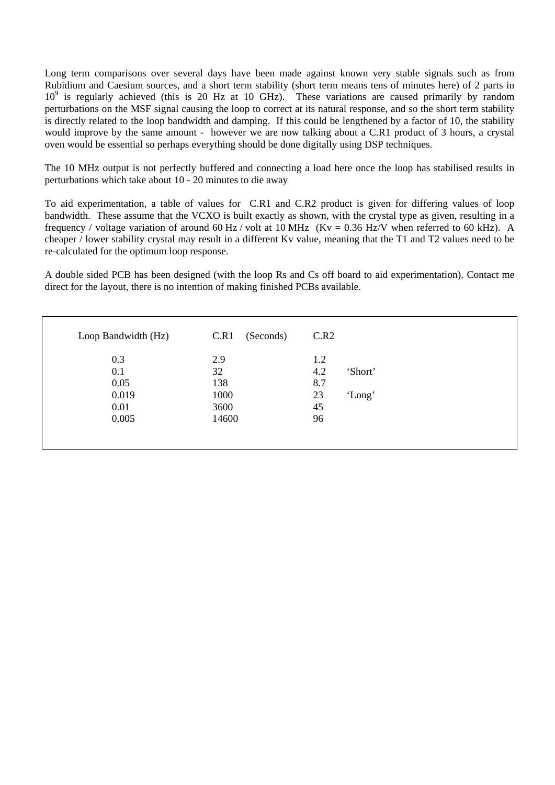Long term comparisons over several days have been made against known very stable signals such as from Rubidium and Caesium sources, and a short term stability (short term means tens of minutes here) of 2 parts in 10<sup>9</sup> is regularly achieved (this is 20 Hz at 10 GHz). These variations are caused primarily by random perturbations on the MSF signal causing the loop to correct at its natural response, and so the short term stability is directly related to the loop bandwidth and damping. If this could be lengthened by a factor of 10, the stability would improve by the same amount - however we are now talking about a C.R1 product of 3 hours, a crystal oven would be essential so perhaps everything should be done digitally using DSP techniques.

The 10 MHz output is not perfectly buffered and connecting a load here once the loop has stabilised results in perturbations which take about 10 - 20 minutes to die away

To aid experimentation, a table of values for C.R1 and C.R2 product is given for differing values of loop bandwidth. These assume that the VCXO is built exactly as shown, with the crystal type as given, resulting in a frequency / voltage variation of around 60 Hz / volt at 10 MHz (Kv = 0.36 Hz/V when referred to 60 kHz). A cheaper / lower stability crystal may result in a different Kv value, meaning that the T1 and T2 values need to be re-calculated for the optimum loop response.

A double sided PCB has been designed (with the loop Rs and Cs off board to aid experimentation). Contact me direct for the layout, there is no intention of making finished PCBs available.

| Loop Bandwidth (Hz) | C.R1<br>(Seconds) | C.R2 |         |
|---------------------|-------------------|------|---------|
| 0.3                 | 2.9               | 1.2  |         |
| 0.1                 | 32                | 4.2  | 'Short' |
| 0.05                | 138               | 8.7  |         |
| 0.019               | 1000              | 23   | 'Long'  |
| 0.01                | 3600              | 45   |         |
| 0.005               | 14600             | 96   |         |